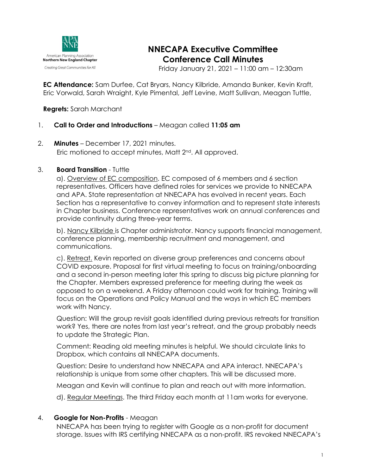

# **NNECAPA Executive Committee Conference Call Minutes**

Friday January 21, 2021 – 11:00 am – 12:30am

**EC Attendance:** Sam Durfee, Cat Bryars, Nancy Kilbride, Amanda Bunker, Kevin Kraft, Eric Vorwald, Sarah Wraight, Kyle Pimental, Jeff Levine, Matt Sullivan, Meagan Tuttle,

**Regrets:** Sarah Marchant

# 1. **Call to Order and Introductions** – Meagan called **11:05 am**

2. **Minutes** – December 17, 2021 minutes. Eric motioned to accept minutes, Matt 2nd. All approved.

#### 3. **Board Transition** - Tuttle

a). Overview of EC composition. EC composed of 6 members and 6 section representatives. Officers have defined roles for services we provide to NNECAPA and APA. State representation at NNECAPA has evolved in recent years. Each Section has a representative to convey information and to represent state interests in Chapter business. Conference representatives work on annual conferences and provide continuity during three-year terms.

b). Nancy Kilbride is Chapter administrator. Nancy supports financial management, conference planning, membership recruitment and management, and communications.

c). Retreat. Kevin reported on diverse group preferences and concerns about COVID exposure. Proposal for first virtual meeting to focus on training/onboarding and a second in-person meeting later this spring to discuss big picture planning for the Chapter. Members expressed preference for meeting during the week as opposed to on a weekend. A Friday afternoon could work for training. Training will focus on the Operations and Policy Manual and the ways in which EC members work with Nancy.

Question: Will the group revisit goals identified during previous retreats for transition work? Yes, there are notes from last year's retreat, and the group probably needs to update the Strategic Plan.

Comment: Reading old meeting minutes is helpful. We should circulate links to Dropbox, which contains all NNECAPA documents.

Question: Desire to understand how NNECAPA and APA interact. NNECAPA's relationship is unique from some other chapters. This will be discussed more.

Meagan and Kevin will continue to plan and reach out with more information.

d). Regular Meetings. The third Friday each month at 11am works for everyone.

# 4. **Google for Non-Profits** - Meagan

NNECAPA has been trying to register with Google as a non-profit for document storage. Issues with IRS certifying NNECAPA as a non-profit. IRS revoked NNECAPA's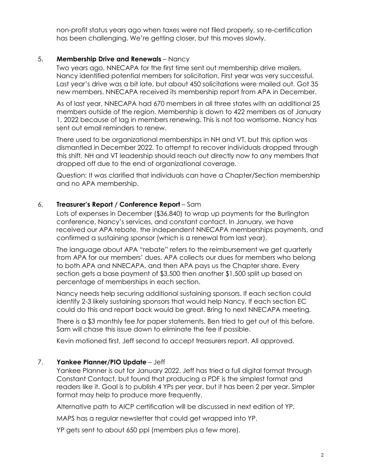non-profit status years ago when taxes were not filed properly, so re-certification has been challenging. We're getting closer, but this moves slowly.

## 5. **Membership Drive and Renewals** – Nancy

Two years ago, NNECAPA for the first time sent out membership drive mailers. Nancy identified potential members for solicitation. First year was very successful. Last year's drive was a bit late, but about 450 solicitations were mailed out. Got 35 new members. NNECAPA received its membership report from APA in December.

As of last year, NNECAPA had 670 members in all three states with an additional 25 members outside of the region. Membership is down to 422 members as of January 1, 2022 because of lag in members renewing. This is not too worrisome. Nancy has sent out email reminders to renew.

There used to be organizational memberships in NH and VT, but this option was dismantled in December 2022. To attempt to recover individuals dropped through this shift, NH and VT leadership should reach out directly now to any members that dropped off due to the end of organizational coverage.

Question: It was clarified that individuals can have a Chapter/Section membership and no APA membership.

#### 6. **Treasurer's Report / Conference Report** – Sam

Lots of expenses in December (\$36,840) to wrap up payments for the Burlington conference, Nancy's services, and constant contact. In January, we have received our APA rebate, the independent NNECAPA memberships payments, and confirmed a sustaining sponsor (which is a renewal from last year).

The language about APA "rebate" refers to the reimbursement we get quarterly from APA for our members' dues. APA collects our dues for members who belong to both APA and NNECAPA, and then APA pays us the Chapter share. Every section gets a base payment of \$3,500 then another \$1,500 split up based on percentage of memberships in each section.

Nancy needs help securing additional sustaining sponsors. If each section could identify 2-3 likely sustaining sponsors that would help Nancy. If each section EC could do this and report back would be great. Bring to next NNECAPA meeting.

There is a \$3 monthly fee for paper statements. Ben tried to get out of this before. Sam will chase this issue down to eliminate the fee if possible.

Kevin motioned first, Jeff second to accept treasurers report. All approved.

#### 7. **Yankee Planner/PIO Update** – Jeff

Yankee Planner is out for January 2022. Jeff has tried a full digital format through Constant Contact, but found that producing a PDF is the simplest format and readers like it. Goal is to publish 4 YPs per year, but it has been 2 per year. Simpler format may help to produce more frequently.

Alternative path to AICP certification will be discussed in next edition of YP.

MAPS has a regular newsletter that could get wrapped into YP.

YP gets sent to about 650 ppl (members plus a few more).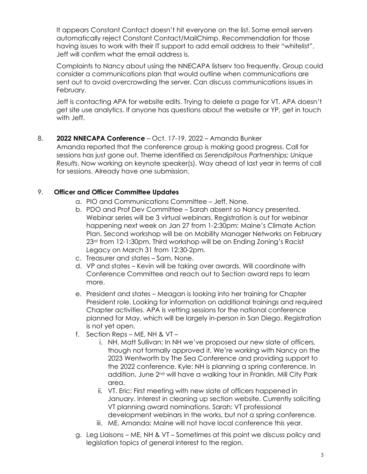It appears Constant Contact doesn't hit everyone on the list. Some email servers automatically reject Constant Contact/MailChimp. Recommendation for those having issues to work with their IT support to add email address to their "whitelist". Jeff will confirm what the email address is.

Complaints to Nancy about using the NNECAPA listserv too frequently. Group could consider a communications plan that would outline when communications are sent out to avoid overcrowding the server. Can discuss communications issues in February.

Jeff is contacting APA for website edits. Trying to delete a page for VT. APA doesn't get site use analytics. If anyone has questions about the website or YP, get in touch with Jeff.

## 8. **2022 NNECAPA Conference** – Oct. 17-19, 2022 – Amanda Bunker Amanda reported that the conference group is making good progress. Call for sessions has just gone out. Theme identified as *Serendipitous Partnerships; Unique Results*. Now working on keynote speaker(s). Way ahead of last year in terms of call

# 9. **Officer and Officer Committee Updates**

for sessions. Already have one submission.

- a. PIO and Communications Committee Jeff. None.
- b. PDO and Prof Dev Committee Sarah absent so Nancy presented. Webinar series will be 3 virtual webinars. Registration is out for webinar happening next week on Jan 27 from 1-2:30pm: Maine's Climate Action Plan. Second workshop will be on Mobility Manager Networks on February 23rd from 12-1:30pm. Third workshop will be on Ending Zoning's Racist Legacy on March 31 from 12:30-2pm.
- c. Treasurer and states Sam. None.
- d. VP and states Kevin will be taking over awards. Will coordinate with Conference Committee and reach out to Section award reps to learn more.
- e. President and states Meagan is looking into her training for Chapter President role. Looking for information on additional trainings and required Chapter activities. APA is vetting sessions for the national conference planned for May, which will be largely in-person in San Diego. Registration is not yet open.
- f. Section Reps ME, NH & VT
	- i. NH. Matt Sullivan: In NH we've proposed our new slate of officers, though not formally approved it. We're working with Nancy on the 2023 Wentworth by The Sea Conference and providing support to the 2022 conference. Kyle: NH is planning a spring conference. In addition, June 2<sup>nd</sup> will have a walking tour in Franklin, Mill City Park area.
	- ii. VT. Eric: First meeting with new slate of officers happened in January. Interest in cleaning up section website. Currently soliciting VT planning award nominations. Sarah: VT professional development webinars in the works, but not a spring conference.
	- iii. ME. Amanda: Maine will not have local conference this year.
- g. Leg Liaisons ME, NH & VT Sometimes at this point we discuss policy and legislation topics of general interest to the region.